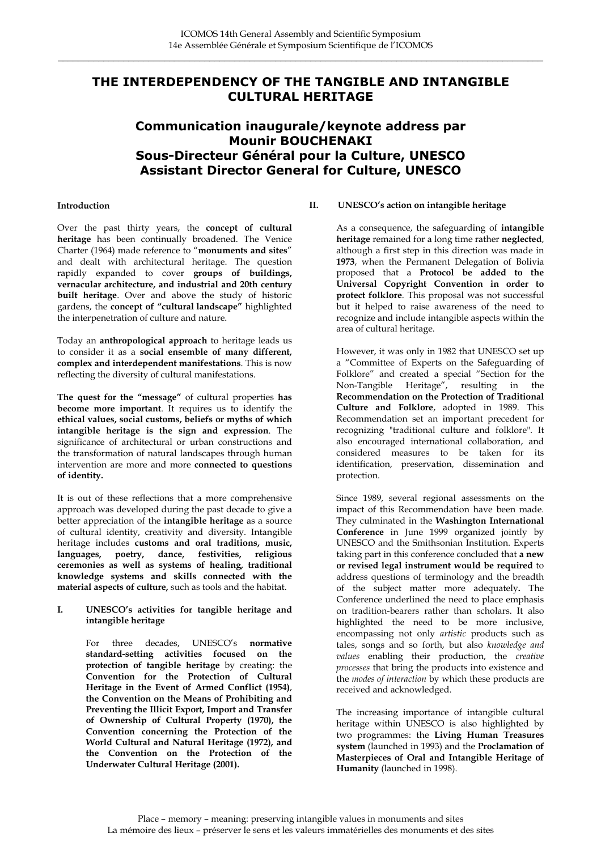# **THE INTERDEPENDENCY OF THE TANGIBLE AND INTANGIBLE CULTURAL HERITAGE**

# **Communication inaugurale/keynote address par Mounir BOUCHENAKI Sous-Directeur Général pour la Culture, UNESCO Assistant Director General for Culture, UNESCO**

#### **Introduction**

Over the past thirty years, the **concept of cultural heritage** has been continually broadened. The Venice Charter (1964) made reference to "**monuments and sites**" and dealt with architectural heritage. The question rapidly expanded to cover **groups of buildings, vernacular architecture, and industrial and 20th century built heritage**. Over and above the study of historic gardens, the **concept of "cultural landscape"** highlighted the interpenetration of culture and nature.

Today an **anthropological approach** to heritage leads us to consider it as a **social ensemble of many different, complex and interdependent manifestations**. This is now reflecting the diversity of cultural manifestations.

**The quest for the "message"** of cultural properties **has become more important**. It requires us to identify the **ethical values, social customs, beliefs or myths of which intangible heritage is the sign and expression**. The significance of architectural or urban constructions and the transformation of natural landscapes through human intervention are more and more **connected to questions of identity.**

It is out of these reflections that a more comprehensive approach was developed during the past decade to give a better appreciation of the **intangible heritage** as a source of cultural identity, creativity and diversity. Intangible heritage includes **customs and oral traditions, music, languages, poetry, dance, festivities, religious ceremonies as well as systems of healing, traditional knowledge systems and skills connected with the material aspects of culture,** such as tools and the habitat.

**I. UNESCO's activities for tangible heritage and intangible heritage** 

> For three decades, UNESCO's **normative standard-setting activities focused on the protection of tangible heritage** by creating: the **Convention for the Protection of Cultural Heritage in the Event of Armed Conflict (1954)**, **the Convention on the Means of Prohibiting and Preventing the Illicit Export, Import and Transfer of Ownership of Cultural Property (1970), the Convention concerning the Protection of the World Cultural and Natural Heritage (1972), and the Convention on the Protection of the Underwater Cultural Heritage (2001).**

#### **II. UNESCO's action on intangible heritage**

As a consequence, the safeguarding of **intangible heritage** remained for a long time rather **neglected**, although a first step in this direction was made in **1973**, when the Permanent Delegation of Bolivia proposed that a **Protocol be added to the Universal Copyright Convention in order to protect folklore**. This proposal was not successful but it helped to raise awareness of the need to recognize and include intangible aspects within the area of cultural heritage.

However, it was only in 1982 that UNESCO set up a "Committee of Experts on the Safeguarding of Folklore" and created a special "Section for the Non-Tangible Heritage", resulting in the **Recommendation on the Protection of Traditional Culture and Folklore**, adopted in 1989. This Recommendation set an important precedent for recognizing "traditional culture and folklore". It also encouraged international collaboration, and considered measures to be taken for its identification, preservation, dissemination and protection.

Since 1989, several regional assessments on the impact of this Recommendation have been made. They culminated in the **Washington International Conference** in June 1999 organized jointly by UNESCO and the Smithsonian Institution. Experts taking part in this conference concluded that **a new or revised legal instrument would be required** to address questions of terminology and the breadth of the subject matter more adequately**.** The Conference underlined the need to place emphasis on tradition-bearers rather than scholars. It also highlighted the need to be more inclusive, encompassing not only *artistic* products such as tales, songs and so forth, but also *knowledge and values* enabling their production, the *creative processes* that bring the products into existence and the *modes of interaction* by which these products are received and acknowledged.

The increasing importance of intangible cultural heritage within UNESCO is also highlighted by two programmes: the **Living Human Treasures system** (launched in 1993) and the **Proclamation of Masterpieces of Oral and Intangible Heritage of Humanity** (launched in 1998).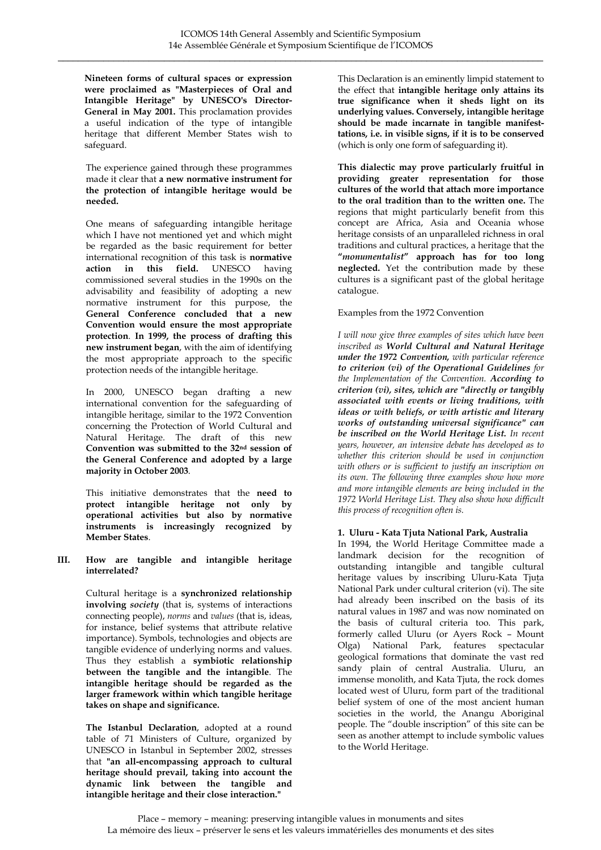**Nineteen forms of cultural spaces or expression were proclaimed as "Masterpieces of Oral and Intangible Heritage" by UNESCO's Director-General in May 2001.** This proclamation provides a useful indication of the type of intangible heritage that different Member States wish to safeguard.

The experience gained through these programmes made it clear that **a new normative instrument for the protection of intangible heritage would be needed.** 

One means of safeguarding intangible heritage which I have not mentioned yet and which might be regarded as the basic requirement for better international recognition of this task is **normative action in this field.** UNESCO having commissioned several studies in the 1990s on the advisability and feasibility of adopting a new normative instrument for this purpose, the **General Conference concluded that a new Convention would ensure the most appropriate protection**. **In 1999, the process of drafting this new instrument began**, with the aim of identifying the most appropriate approach to the specific protection needs of the intangible heritage.

In 2000, UNESCO began drafting a new international convention for the safeguarding of intangible heritage, similar to the 1972 Convention concerning the Protection of World Cultural and Natural Heritage. The draft of this new **Convention was submitted to the 32nd session of the General Conference and adopted by a large majority in October 2003**.

This initiative demonstrates that the **need to protect intangible heritage not only by operational activities but also by normative instruments is increasingly recognized by Member States**.

**III. How are tangible and intangible heritage interrelated?** 

> Cultural heritage is a **synchronized relationship involving** *society* (that is, systems of interactions connecting people), *norms* and *values* (that is, ideas, for instance, belief systems that attribute relative importance). Symbols, technologies and objects are tangible evidence of underlying norms and values. Thus they establish a **symbiotic relationship between the tangible and the intangible**. The **intangible heritage should be regarded as the larger framework within which tangible heritage takes on shape and significance.**

> **The Istanbul Declaration**, adopted at a round table of 71 Ministers of Culture, organized by UNESCO in Istanbul in September 2002, stresses that **"an all-encompassing approach to cultural heritage should prevail, taking into account the dynamic link between the tangible and intangible heritage and their close interaction."**

This Declaration is an eminently limpid statement to the effect that **intangible heritage only attains its true significance when it sheds light on its underlying values. Conversely, intangible heritage should be made incarnate in tangible manifesttations, i.e. in visible signs, if it is to be conserved** (which is only one form of safeguarding it).

**This dialectic may prove particularly fruitful in providing greater representation for those cultures of the world that attach more importance to the oral tradition than to the written one.** The regions that might particularly benefit from this concept are Africa, Asia and Oceania whose heritage consists of an unparalleled richness in oral traditions and cultural practices, a heritage that the **"***monumentalist***" approach has for too long neglected.** Yet the contribution made by these cultures is a significant past of the global heritage catalogue.

## Examples from the 1972 Convention

*I will now give three examples of sites which have been inscribed as World Cultural and Natural Heritage under the 1972 Convention, with particular reference to criterion (vi) of the Operational Guidelines for the Implementation of the Convention. According to criterion (vi), sites, which are "directly or tangibly associated with events or living traditions, with ideas or with beliefs, or with artistic and literary works of outstanding universal significance" can be inscribed on the World Heritage List. In recent years, however, an intensive debate has developed as to whether this criterion should be used in conjunction with others or is sufficient to justify an inscription on its own. The following three examples show how more and more intangible elements are being included in the 1972 World Heritage List. They also show how difficult this process of recognition often is.* 

### **1. Uluru - Kata Tjuta National Park, Australia**

In 1994, the World Heritage Committee made a landmark decision for the recognition of outstanding intangible and tangible cultural heritage values by inscribing Uluru-Kata Tjuta National Park under cultural criterion (vi). The site had already been inscribed on the basis of its natural values in 1987 and was now nominated on the basis of cultural criteria too. This park, formerly called Uluru (or Ayers Rock – Mount Olga) National Park, features spectacular geological formations that dominate the vast red sandy plain of central Australia. Uluru, an immense monolith, and Kata Tjuta, the rock domes located west of Uluru, form part of the traditional belief system of one of the most ancient human societies in the world, the Anangu Aboriginal people. The "double inscription" of this site can be seen as another attempt to include symbolic values to the World Heritage.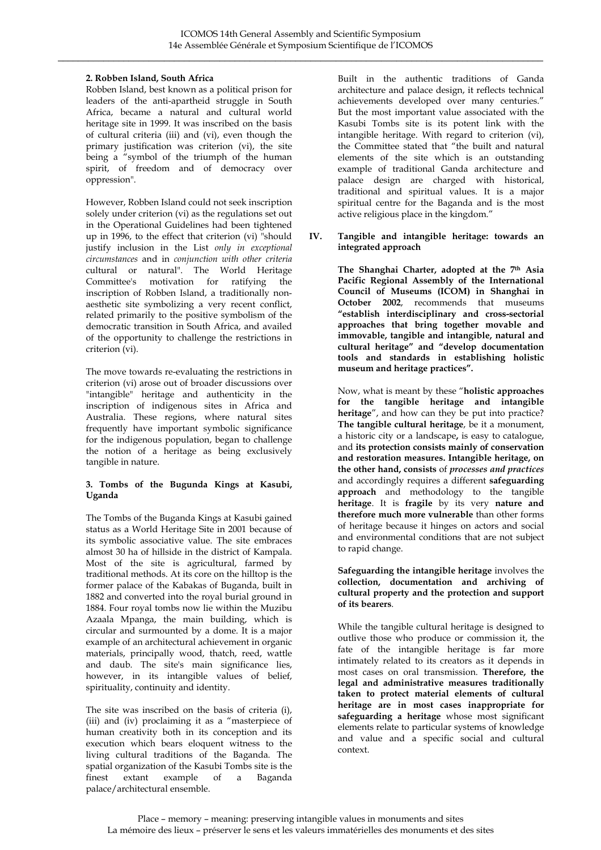## **2. Robben Island, South Africa**

Robben Island, best known as a political prison for leaders of the anti-apartheid struggle in South Africa, became a natural and cultural world heritage site in 1999. It was inscribed on the basis of cultural criteria (iii) and (vi), even though the primary justification was criterion (vi), the site being a "symbol of the triumph of the human spirit, of freedom and of democracy over oppression".

However, Robben Island could not seek inscription solely under criterion (vi) as the regulations set out in the Operational Guidelines had been tightened up in 1996, to the effect that criterion (vi) "should justify inclusion in the List *only in exceptional circumstances* and in *conjunction with other criteria* cultural or natural". The World Heritage Committee's motivation for ratifying the inscription of Robben Island, a traditionally nonaesthetic site symbolizing a very recent conflict, related primarily to the positive symbolism of the democratic transition in South Africa, and availed of the opportunity to challenge the restrictions in criterion (vi).

The move towards re-evaluating the restrictions in criterion (vi) arose out of broader discussions over "intangible" heritage and authenticity in the inscription of indigenous sites in Africa and Australia. These regions, where natural sites frequently have important symbolic significance for the indigenous population, began to challenge the notion of a heritage as being exclusively tangible in nature.

### **3. Tombs of the Bugunda Kings at Kasubi, Uganda**

The Tombs of the Buganda Kings at Kasubi gained status as a World Heritage Site in 2001 because of its symbolic associative value. The site embraces almost 30 ha of hillside in the district of Kampala. Most of the site is agricultural, farmed by traditional methods. At its core on the hilltop is the former palace of the Kabakas of Buganda, built in 1882 and converted into the royal burial ground in 1884. Four royal tombs now lie within the Muzibu Azaala Mpanga, the main building, which is circular and surmounted by a dome. It is a major example of an architectural achievement in organic materials, principally wood, thatch, reed, wattle and daub. The site's main significance lies, however, in its intangible values of belief, spirituality, continuity and identity.

The site was inscribed on the basis of criteria (i), (iii) and (iv) proclaiming it as a "masterpiece of human creativity both in its conception and its execution which bears eloquent witness to the living cultural traditions of the Baganda. The spatial organization of the Kasubi Tombs site is the finest extant example of a Baganda palace/architectural ensemble.

Built in the authentic traditions of Ganda architecture and palace design, it reflects technical achievements developed over many centuries." But the most important value associated with the Kasubi Tombs site is its potent link with the intangible heritage. With regard to criterion (vi), the Committee stated that "the built and natural elements of the site which is an outstanding example of traditional Ganda architecture and palace design are charged with historical, traditional and spiritual values. It is a major spiritual centre for the Baganda and is the most active religious place in the kingdom."

**IV. Tangible and intangible heritage: towards an integrated approach** 

> **The Shanghai Charter, adopted at the 7th Asia Pacific Regional Assembly of the International Council of Museums (ICOM) in Shanghai in October 2002**, recommends that museums **"establish interdisciplinary and cross-sectorial approaches that bring together movable and immovable, tangible and intangible, natural and cultural heritage" and "develop documentation tools and standards in establishing holistic museum and heritage practices".**

> Now, what is meant by these "**holistic approaches for the tangible heritage and intangible heritage**", and how can they be put into practice? **The tangible cultural heritage**, be it a monument, a historic city or a landscape**,** is easy to catalogue, and **its protection consists mainly of conservation and restoration measures. Intangible heritage, on the other hand, consists** of *processes and practices* and accordingly requires a different **safeguarding approach** and methodology to the tangible **heritage**. It is **fragile** by its very **nature and therefore much more vulnerable** than other forms of heritage because it hinges on actors and social and environmental conditions that are not subject to rapid change.

#### **Safeguarding the intangible heritage** involves the **collection, documentation and archiving of cultural property and the protection and support of its bearers**.

While the tangible cultural heritage is designed to outlive those who produce or commission it, the fate of the intangible heritage is far more intimately related to its creators as it depends in most cases on oral transmission. **Therefore, the legal and administrative measures traditionally taken to protect material elements of cultural heritage are in most cases inappropriate for safeguarding a heritage** whose most significant elements relate to particular systems of knowledge and value and a specific social and cultural context.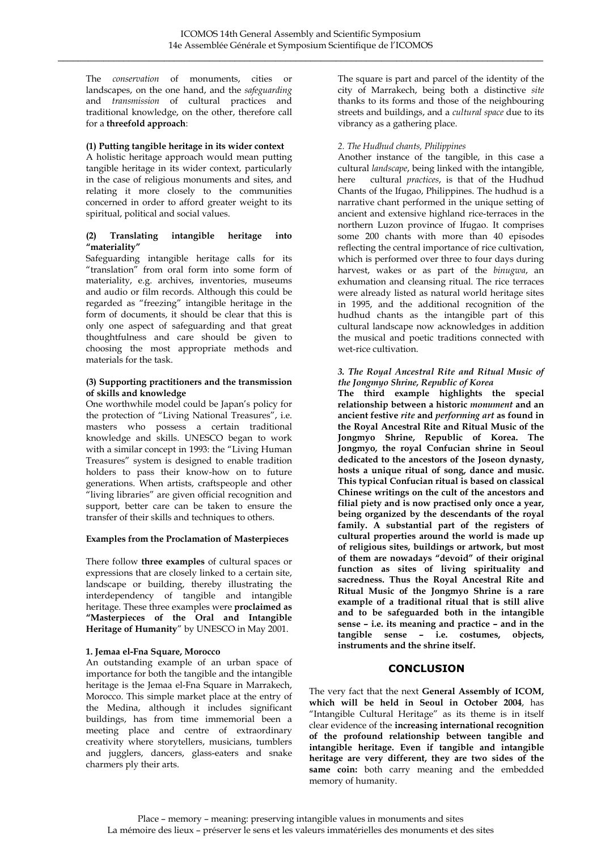The *conservation* of monuments, cities or landscapes, on the one hand, and the *safeguarding* and *transmission* of cultural practices and traditional knowledge, on the other, therefore call for a **threefold approach**:

### **(1) Putting tangible heritage in its wider context**

A holistic heritage approach would mean putting tangible heritage in its wider context, particularly in the case of religious monuments and sites, and relating it more closely to the communities concerned in order to afford greater weight to its spiritual, political and social values.

## **(2) Translating intangible heritage into "materiality"**

Safeguarding intangible heritage calls for its "translation" from oral form into some form of materiality, e.g. archives, inventories, museums and audio or film records. Although this could be regarded as "freezing" intangible heritage in the form of documents, it should be clear that this is only one aspect of safeguarding and that great thoughtfulness and care should be given to choosing the most appropriate methods and materials for the task.

### **(3) Supporting practitioners and the transmission of skills and knowledge**

One worthwhile model could be Japan's policy for the protection of "Living National Treasures", i.e. masters who possess a certain traditional knowledge and skills. UNESCO began to work with a similar concept in 1993: the "Living Human Treasures" system is designed to enable tradition holders to pass their know-how on to future generations. When artists, craftspeople and other "living libraries" are given official recognition and support, better care can be taken to ensure the transfer of their skills and techniques to others.

# **Examples from the Proclamation of Masterpieces**

There follow **three examples** of cultural spaces or expressions that are closely linked to a certain site, landscape or building, thereby illustrating the interdependency of tangible and intangible heritage. These three examples were **proclaimed as "Masterpieces of the Oral and Intangible Heritage of Humanity**" by UNESCO in May 2001.

# **1. Jemaa el-Fna Square, Morocco**

An outstanding example of an urban space of importance for both the tangible and the intangible heritage is the Jemaa el-Fna Square in Marrakech, Morocco. This simple market place at the entry of the Medina, although it includes significant buildings, has from time immemorial been a meeting place and centre of extraordinary creativity where storytellers, musicians, tumblers and jugglers, dancers, glass-eaters and snake charmers ply their arts.

The square is part and parcel of the identity of the city of Marrakech, being both a distinctive *site* thanks to its forms and those of the neighbouring streets and buildings, and a *cultural space* due to its vibrancy as a gathering place.

## *2. The Hudhud chants, Philippines*

Another instance of the tangible, in this case a cultural *landscape*, being linked with the intangible, here cultural *practices*, is that of the Hudhud Chants of the Ifugao, Philippines. The hudhud is a narrative chant performed in the unique setting of ancient and extensive highland rice-terraces in the northern Luzon province of Ifugao. It comprises some 200 chants with more than 40 episodes reflecting the central importance of rice cultivation, which is performed over three to four days during harvest, wakes or as part of the *binugwa*, an exhumation and cleansing ritual. The rice terraces were already listed as natural world heritage sites in 1995, and the additional recognition of the hudhud chants as the intangible part of this cultural landscape now acknowledges in addition the musical and poetic traditions connected with wet-rice cultivation.

#### *3. The Royal Ancestral Rite and Ritual Music of the Jongmyo Shrine, Republic of Korea*

**The third example highlights the special relationship between a historic** *monument* **and an ancient festive** *rite* **and** *performing art* **as found in the Royal Ancestral Rite and Ritual Music of the Jongmyo Shrine, Republic of Korea. The Jongmyo, the royal Confucian shrine in Seoul dedicated to the ancestors of the Joseon dynasty, hosts a unique ritual of song, dance and music. This typical Confucian ritual is based on classical Chinese writings on the cult of the ancestors and filial piety and is now practised only once a year, being organized by the descendants of the royal family. A substantial part of the registers of cultural properties around the world is made up of religious sites, buildings or artwork, but most of them are nowadays "devoid" of their original function as sites of living spirituality and sacredness. Thus the Royal Ancestral Rite and Ritual Music of the Jongmyo Shrine is a rare example of a traditional ritual that is still alive and to be safeguarded both in the intangible sense – i.e. its meaning and practice – and in the tangible sense – i.e. costumes, objects, instruments and the shrine itself.** 

# **CONCLUSION**

The very fact that the next **General Assembly of ICOM, which will be held in Seoul in October 2004**, has "Intangible Cultural Heritage" as its theme is in itself clear evidence of the **increasing international recognition of the profound relationship between tangible and intangible heritage. Even if tangible and intangible heritage are very different, they are two sides of the same coin:** both carry meaning and the embedded memory of humanity.